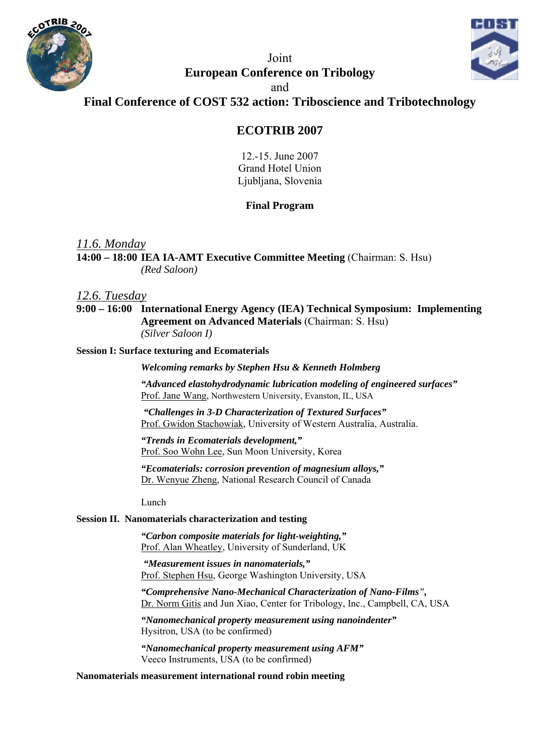



Joint **European Conference on Tribology** 

and

**Final Conference of COST 532 action: Triboscience and Tribotechnology** 

## **ECOTRIB 2007**

12.-15. June 2007 Grand Hotel Union Ljubljana, Slovenia

## **Final Program**

*11.6. Monday* 

**14:00 – 18:00 IEA IA-AMT Executive Committee Meeting** (Chairman: S. Hsu) *(Red Saloon)*

## *12.6. Tuesday*

**9:00 – 16:00 International Energy Agency (IEA) Technical Symposium: Implementing Agreement on Advanced Materials** (Chairman: S. Hsu) *(Silver Saloon I)* 

### **Session I: Surface texturing and Ecomaterials**

*Welcoming remarks by Stephen Hsu & Kenneth Holmberg* 

*"Advanced elastohydrodynamic lubrication modeling of engineered surfaces"*  Prof. Jane Wang, Northwestern University, Evanston, IL, USA

 *"Challenges in 3-D Characterization of Textured Surfaces"* Prof. Gwidon Stachowiak, University of Western Australia, Australia.

 *"Trends in Ecomaterials development,"*  Prof. Soo Wohn Lee, Sun Moon University, Korea

 *"Ecomaterials: corrosion prevention of magnesium alloys,"*  Dr. Wenyue Zheng, National Research Council of Canada

Lunch

### **Session II. Nanomaterials characterization and testing**

*"Carbon composite materials for light-weighting,"*  Prof. Alan Wheatley, University of Sunderland, UK

 *"Measurement issues in nanomaterials,"*  Prof. Stephen Hsu, George Washington University, USA

*"Comprehensive Nano-Mechanical Characterization of Nano-Films",*  Dr. Norm Gitis and Jun Xiao, Center for Tribology, Inc., Campbell, CA, USA

*"Nanomechanical property measurement using nanoindenter"*  Hysitron, USA (to be confirmed)

*"Nanomechanical property measurement using AFM"*  Veeco Instruments, USA (to be confirmed)

### **Nanomaterials measurement international round robin meeting**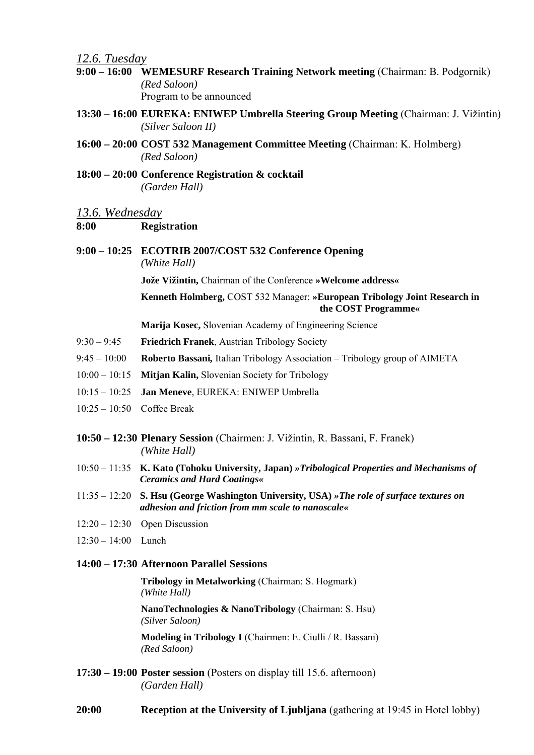*12.6. Tuesday*

- **9:00 16:00 WEMESURF Research Training Network meeting** (Chairman: B. Podgornik) *(Red Saloon)* Program to be announced
- **13:30 16:00 EUREKA: ENIWEP Umbrella Steering Group Meeting** (Chairman: J. Vižintin) *(Silver Saloon II)*
- **16:00 20:00 COST 532 Management Committee Meeting** (Chairman: K. Holmberg) *(Red Saloon)*
- **18:00 20:00 Conference Registration & cocktail**  *(Garden Hall)*

#### *13.6. Wednesday*

### **8:00 Registration**

**9:00 – 10:25 ECOTRIB 2007/COST 532 Conference Opening**   *(White Hall)* 

**Jože Vižintin,** Chairman of the Conference **»Welcome address«**

**Kenneth Holmberg,** COST 532 Manager: **»European Tribology Joint Research in the COST Programme«** 

**Marija Kosec,** Slovenian Academy of Engineering Science

- 9:30 9:45 **Friedrich Franek**, Austrian Tribology Society
- 9:45 10:00 **Roberto Bassani***,* Italian Tribology Association Tribology group of AIMETA
- 10:00 10:15 **Mitjan Kalin,** Slovenian Society for Tribology
- 10:15 10:25 **Jan Meneve**, EUREKA: ENIWEP Umbrella
- 10:25 10:50 Coffee Break
- **10:50 12:30 Plenary Session** (Chairmen: J. Vižintin, R. Bassani, F. Franek)  *(White Hall)*
- 10:50 11:35 **K. Kato (Tohoku University, Japan)** *»Tribological Properties and Mechanisms of Ceramics and Hard Coatings«*
- 11:35 12:20 **S. Hsu (George Washington University, USA)** *»The role of surface textures on adhesion and friction from mm scale to nanoscale«*
- 12:20 12:30 Open Discussion
- 12:30 14:00 Lunch

### **14:00 – 17:30 Afternoon Parallel Sessions**

**Tribology in Metalworking** (Chairman: S. Hogmark) *(White Hall)* 

 **NanoTechnologies & NanoTribology** (Chairman: S. Hsu) *(Silver Saloon)* 

 **Modeling in Tribology I** (Chairmen: E. Ciulli / R. Bassani) *(Red Saloon)*

- **17:30 19:00 Poster session** (Posters on display till 15.6. afternoon)  *(Garden Hall)*
- **20:00 Reception at the University of Ljubljana** (gathering at 19:45 in Hotel lobby)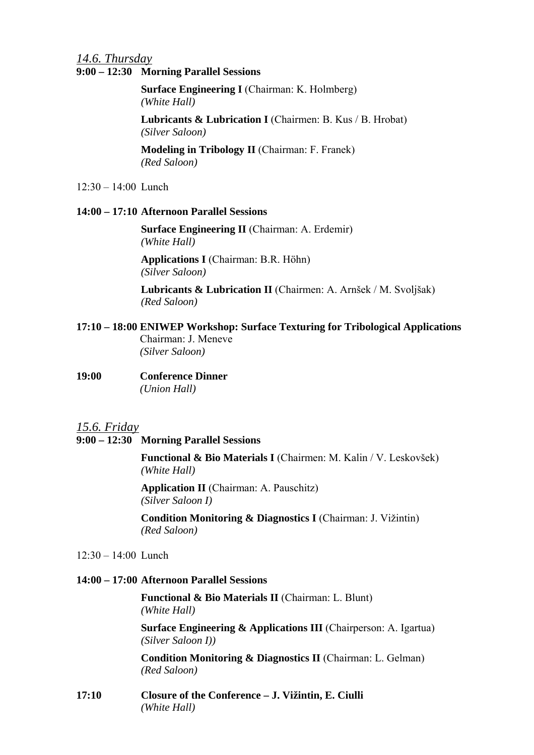# *14.6. Thursday*

## **9:00 – 12:30 Morning Parallel Sessions**

**Surface Engineering I** (Chairman: K. Holmberg) *(White Hall)* 

Lubricants & Lubrication I (Chairmen: B. Kus / B. Hrobat)  *(Silver Saloon)*

**Modeling in Tribology II** (Chairman: F. Franek)  *(Red Saloon)* 

12:30 – 14:00 Lunch

## **14:00 – 17:10 Afternoon Parallel Sessions**

**Surface Engineering II** (Chairman: A. Erdemir) *(White Hall)* 

**Applications I** (Chairman: B.R. Höhn)  *(Silver Saloon)*

**Lubricants & Lubrication II** (Chairmen: A. Arnšek / M. Svoljšak)  *(Red Saloon)* 

- **17:10 18:00 ENIWEP Workshop: Surface Texturing for Tribological Applications**  Chairman: J. Meneve  *(Silver Saloon)*
- **19:00 Conference Dinner**   *(Union Hall)*
- *15.6. Friday*
- **9:00 12:30 Morning Parallel Sessions**

**Functional & Bio Materials I** (Chairmen: M. Kalin / V. Leskovšek) *(White Hall)* 

**Application II** (Chairman: A. Pauschitz) *(Silver Saloon I)* 

**Condition Monitoring & Diagnostics I** (Chairman: J. Vižintin)  *(Red Saloon)* 

12:30 – 14:00 Lunch

### **14:00 – 17:00 Afternoon Parallel Sessions**

**Functional & Bio Materials II** (Chairman: L. Blunt) *(White Hall)* 

**Surface Engineering & Applications III** (Chairperson: A. Igartua)  *(Silver Saloon I))* 

**Condition Monitoring & Diagnostics II** (Chairman: L. Gelman)  *(Red Saloon)*

**17:10 Closure of the Conference – J. Vižintin, E. Ciulli**   *(White Hall)*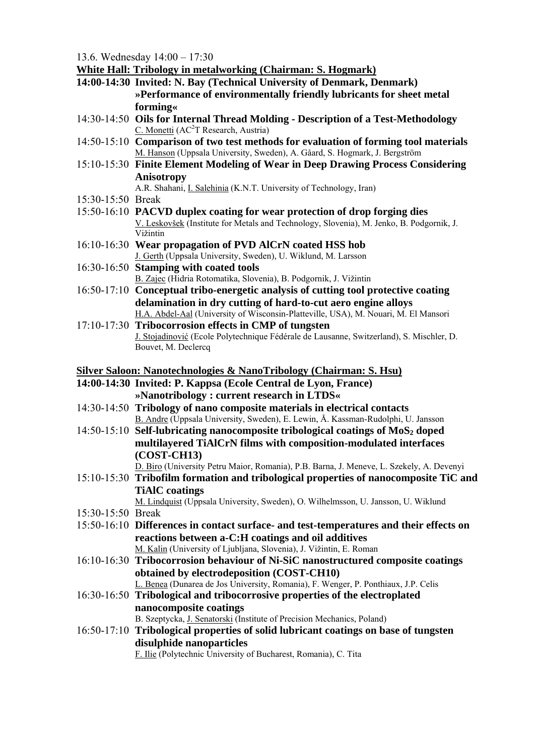13.6. Wednesday 14:00 – 17:30

**White Hall: Tribology in metalworking (Chairman: S. Hogmark)**

- **14:00-14:30 Invited: N. Bay (Technical University of Denmark, Denmark) »Performance of environmentally friendly lubricants for sheet metal forming«**
- 14:30-14:50 **Oils for Internal Thread Molding Description of a Test-Methodology**   $C.$  Monetti (AC<sup>2</sup>T Research, Austria)
- 14:50-15:10 **Comparison of two test methods for evaluation of forming tool materials**  M. Hanson (Uppsala University, Sweden), A. Gåard, S. Hogmark, J. Bergström
- 15:10-15:30 **Finite Element Modeling of Wear in Deep Drawing Process Considering Anisotropy**

A.R. Shahani, I. Salehinia (K.N.T. University of Technology, Iran)

- 15:30-15:50 Break
- 15:50-16:10 **PACVD duplex coating for wear protection of drop forging dies**  V. Leskovšek (Institute for Metals and Technology, Slovenia), M. Jenko, B. Podgornik, J. Vižintin
- 16:10-16:30 **Wear propagation of PVD AlCrN coated HSS hob**  J. Gerth (Uppsala University, Sweden), U. Wiklund, M. Larsson
- 16:30-16:50 **Stamping with coated tools** 
	- B. Zajec (Hidria Rotomatika, Slovenia), B. Podgornik, J. Vižintin
- 16:50-17:10 **Conceptual tribo-energetic analysis of cutting tool protective coating delamination in dry cutting of hard-to-cut aero engine alloys**  H.A. Abdel-Aal (University of Wisconsin-Platteville, USA), M. Nouari, M. El Mansori
- 17:10-17:30 **Tribocorrosion effects in CMP of tungsten**  J. Stojadinović (Ecole Polytechnique Fédérale de Lausanne, Switzerland), S. Mischler, D. Bouvet, M. Declercq

## **Silver Saloon: Nanotechnologies & NanoTribology (Chairman: S. Hsu)**

- **14:00-14:30 Invited: P. Kappsa (Ecole Central de Lyon, France) »Nanotribology : current research in LTDS«**
- 14:30-14:50 **Tribology of nano composite materials in electrical contacts**  B. Andre (Uppsala University, Sweden), E. Lewin, Å. Kassman-Rudolphi, U. Jansson
- 14:50-15:10 Self-lubricating nanocomposite tribological coatings of MoS<sub>2</sub> doped **multilayered TiAlCrN films with composition-modulated interfaces (COST-CH13)**

D. Biro (University Petru Maior, Romania), P.B. Barna, J. Meneve, L. Szekely, A. Devenyi

- 15:10-15:30 **Tribofilm formation and tribological properties of nanocomposite TiC and TiAlC coatings**
- M. Lindquist (Uppsala University, Sweden), O. Wilhelmsson, U. Jansson, U. Wiklund 15:30-15:50 Break
- 15:50-16:10 **Differences in contact surface- and test-temperatures and their effects on reactions between a-C:H coatings and oil additives**  M. Kalin (University of Ljubljana, Slovenia), J. Vižintin, E. Roman
- 16:10-16:30 **Tribocorrosion behaviour of Ni-SiC nanostructured composite coatings obtained by electrodeposition (COST-CH10)**  L. Benea (Dunarea de Jos University, Romania), F. Wenger, P. Ponthiaux, J.P. Celis
- 16:30-16:50 **Tribological and tribocorrosive properties of the electroplated nanocomposite coatings**

B. Szeptycka, J. Senatorski (Institute of Precision Mechanics, Poland)

16:50-17:10 **Tribological properties of solid lubricant coatings on base of tungsten disulphide nanoparticles** 

F. Ilie (Polytechnic University of Bucharest, Romania), C. Tita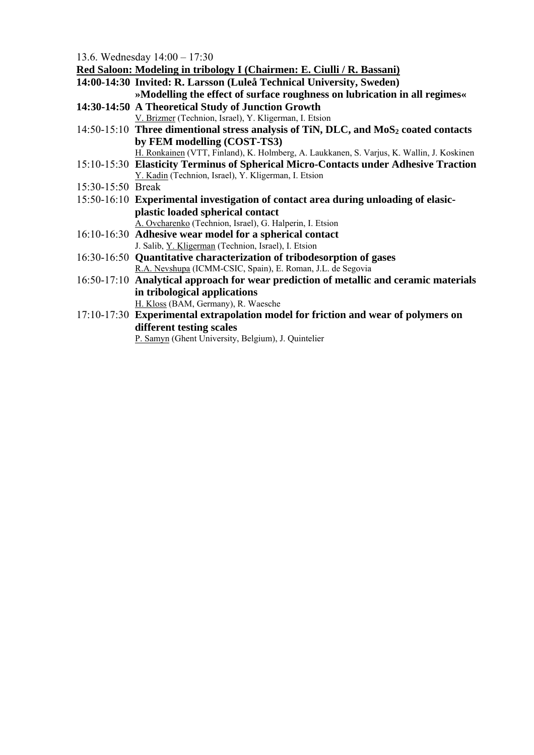13.6. Wednesday 14:00 – 17:30

**Red Saloon: Modeling in tribology I (Chairmen: E. Ciulli / R. Bassani)** 

- **14:00-14:30 Invited: R. Larsson (Luleå Technical University, Sweden)**
- **»Modelling the effect of surface roughness on lubrication in all regimes« 14:30-14:50 A Theoretical Study of Junction Growth** 
	- V. Brizmer (Technion, Israel), Y. Kligerman, I. Etsion
- 14:50-15:10 Three dimentional stress analysis of TiN, DLC, and MoS<sub>2</sub> coated contacts **by FEM modelling (COST-TS3)** 
	- H. Ronkainen (VTT, Finland), K. Holmberg, A. Laukkanen, S. Varjus, K. Wallin, J. Koskinen
- 15:10-15:30 **Elasticity Terminus of Spherical Micro-Contacts under Adhesive Traction**  Y. Kadin (Technion, Israel), Y. Kligerman, I. Etsion
- 15:30-15:50 Break
- 15:50-16:10 **Experimental investigation of contact area during unloading of elasicplastic loaded spherical contact**  A. Ovcharenko (Technion, Israel), G. Halperin, I. Etsion
- 16:10-16:30 **Adhesive wear model for a spherical contact**  J. Salib, Y. Kligerman (Technion, Israel), I. Etsion
- 16:30-16:50 **Quantitative characterization of tribodesorption of gases**  R.A. Nevshupa (ICMM-CSIC, Spain), E. Roman, J.L. de Segovia
- 16:50-17:10 **Analytical approach for wear prediction of metallic and ceramic materials in tribological applications**  H. Kloss (BAM, Germany), R. Waesche
- 17:10-17:30 **Experimental extrapolation model for friction and wear of polymers on different testing scales**

P. Samyn (Ghent University, Belgium), J. Quintelier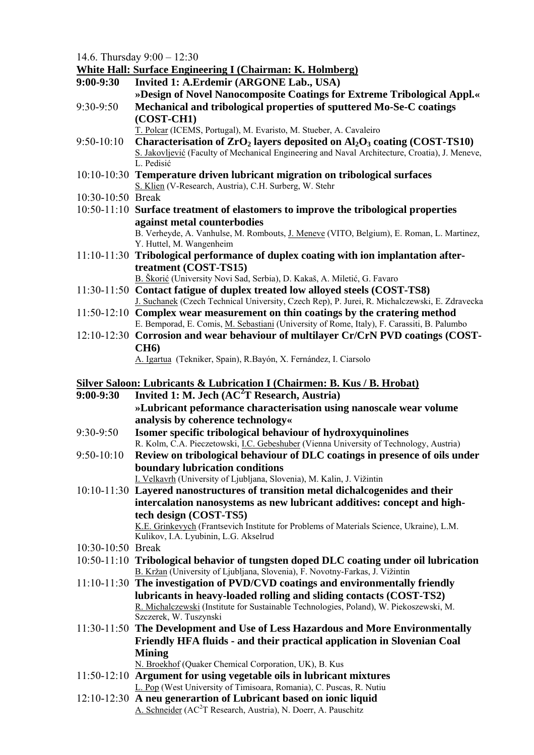14.6. Thursday 9:00 – 12:30

|                   | <b>White Hall: Surface Engineering I (Chairman: K. Holmberg)</b>                                                                                               |
|-------------------|----------------------------------------------------------------------------------------------------------------------------------------------------------------|
| $9:00-9:30$       | Invited 1: A.Erdemir (ARGONE Lab., USA)                                                                                                                        |
|                   | »Design of Novel Nanocomposite Coatings for Extreme Tribological Appl.«                                                                                        |
| $9:30-9:50$       | Mechanical and tribological properties of sputtered Mo-Se-C coatings                                                                                           |
|                   | (COST-CH1)                                                                                                                                                     |
|                   | T. Polcar (ICEMS, Portugal), M. Evaristo, M. Stueber, A. Cavaleiro                                                                                             |
| $9:50-10:10$      | Characterisation of $ZrO2$ layers deposited on $Al2O3$ coating (COST-TS10)                                                                                     |
|                   | S. Jakovljević (Faculty of Mechanical Engineering and Naval Architecture, Croatia), J. Meneve,<br>L. Pedisić                                                   |
|                   | 10:10-10:30 Temperature driven lubricant migration on tribological surfaces                                                                                    |
|                   | S. Klien (V-Research, Austria), C.H. Surberg, W. Stehr                                                                                                         |
| 10:30-10:50 Break |                                                                                                                                                                |
|                   | 10:50-11:10 Surface treatment of elastomers to improve the tribological properties                                                                             |
|                   | against metal counterbodies                                                                                                                                    |
|                   | B. Verheyde, A. Vanhulse, M. Rombouts, J. Meneve (VITO, Belgium), E. Roman, L. Martinez,<br>Y. Huttel, M. Wangenheim                                           |
|                   | 11:10-11:30 Tribological performance of duplex coating with ion implantation after-                                                                            |
|                   | treatment (COST-TS15)                                                                                                                                          |
|                   | B. Škorić (University Novi Sad, Serbia), D. Kakaš, A. Miletić, G. Favaro                                                                                       |
|                   | 11:30-11:50 Contact fatigue of duplex treated low alloyed steels (COST-TS8)                                                                                    |
|                   | J. Suchanek (Czech Technical University, Czech Rep), P. Jurei, R. Michalczewski, E. Zdravecka                                                                  |
|                   | 11:50-12:10 Complex wear measurement on thin coatings by the cratering method                                                                                  |
|                   | E. Bemporad, E. Comis, M. Sebastiani (University of Rome, Italy), F. Carassiti, B. Palumbo                                                                     |
|                   | 12:10-12:30 Corrosion and wear behaviour of multilayer Cr/CrN PVD coatings (COST-                                                                              |
|                   | <b>CH6</b> )                                                                                                                                                   |
|                   | A. Igartua (Tekniker, Spain), R.Bayón, X. Fernández, I. Ciarsolo                                                                                               |
|                   | <b>Silver Saloon: Lubricants &amp; Lubrication I (Chairmen: B. Kus / B. Hrobat)</b>                                                                            |
|                   |                                                                                                                                                                |
|                   |                                                                                                                                                                |
| $9:00-9:30$       | Invited 1: M. Jech $(AC2T$ Research, Austria)                                                                                                                  |
|                   | »Lubricant peformance characterisation using nanoscale wear volume                                                                                             |
|                   | analysis by coherence technology«                                                                                                                              |
| 9:30-9:50         | Isomer specific tribological behaviour of hydroxyquinolines                                                                                                    |
|                   | R. Kolm, C.A. Pieczetowski, <u>I.C. Gebeshuber</u> (Vienna University of Technology, Austria)                                                                  |
| $9:50-10:10$      | Review on tribological behaviour of DLC coatings in presence of oils under                                                                                     |
|                   | boundary lubrication conditions                                                                                                                                |
|                   | I. Velkavrh (University of Ljubljana, Slovenia), M. Kalin, J. Vižintin                                                                                         |
|                   | 10:10-11:30 Layered nanostructures of transition metal dichalcogenides and their                                                                               |
|                   | intercalation nanosystems as new lubricant additives: concept and high-                                                                                        |
|                   | tech design (COST-TS5)<br>K.E. Grinkevych (Frantsevich Institute for Problems of Materials Science, Ukraine), L.M.                                             |
|                   | Kulikov, I.A. Lyubinin, L.G. Akselrud                                                                                                                          |
| 10:30-10:50 Break |                                                                                                                                                                |
|                   | 10:50-11:10 Tribological behavior of tungsten doped DLC coating under oil lubrication                                                                          |
|                   | B. Kržan (University of Ljubljana, Slovenia), F. Novotny-Farkas, J. Vižintin<br>11:10-11:30 The investigation of PVD/CVD coatings and environmentally friendly |
|                   | lubricants in heavy-loaded rolling and sliding contacts (COST-TS2)                                                                                             |
|                   | R. Michalczewski (Institute for Sustainable Technologies, Poland), W. Piekoszewski, M.                                                                         |
|                   | Szczerek, W. Tuszynski                                                                                                                                         |
|                   | 11:30-11:50 The Development and Use of Less Hazardous and More Environmentally                                                                                 |
|                   | Friendly HFA fluids - and their practical application in Slovenian Coal                                                                                        |
|                   | <b>Mining</b>                                                                                                                                                  |
|                   | N. Broekhof (Quaker Chemical Corporation, UK), B. Kus                                                                                                          |
|                   | 11:50-12:10 Argument for using vegetable oils in lubricant mixtures                                                                                            |
|                   | L. Pop (West University of Timisoara, Romania), C. Puscas, R. Nutiu                                                                                            |
|                   | 12:10-12:30 A neu generartion of Lubricant based on ionic liquid<br>A. Schneider (AC <sup>2</sup> T Research, Austria), N. Doerr, A. Pauschitz                 |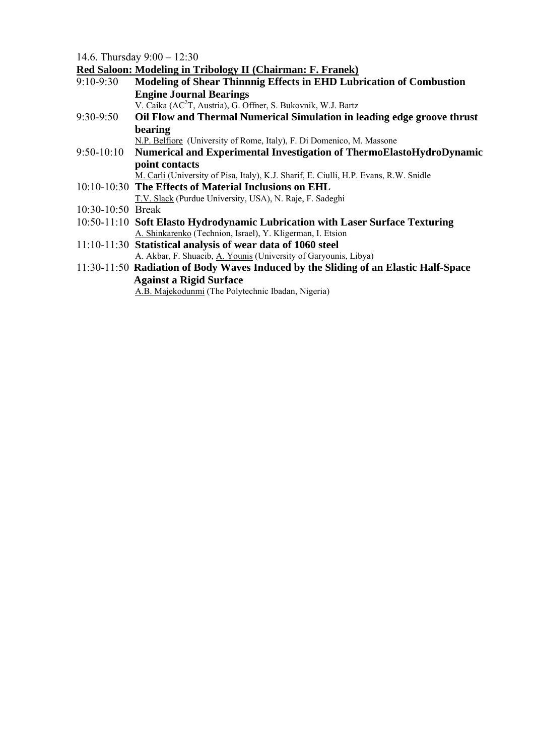14.6. Thursday 9:00 – 12:30

**Red Saloon: Modeling in Tribology II (Chairman: F. Franek)**

| $9:10 - 9:30$     | $\alpha$ baroon, nowelling in Triborogy in (Chainman, T.T. and<br>Modeling of Shear Thinnnig Effects in EHD Lubrication of Combustion |
|-------------------|---------------------------------------------------------------------------------------------------------------------------------------|
|                   | <b>Engine Journal Bearings</b>                                                                                                        |
|                   | V. Caika (AC <sup>2</sup> T, Austria), G. Offner, S. Bukovnik, W.J. Bartz                                                             |
| 9:30-9:50         | Oil Flow and Thermal Numerical Simulation in leading edge groove thrust                                                               |
|                   | bearing                                                                                                                               |
|                   | N.P. Belfiore (University of Rome, Italy), F. Di Domenico, M. Massone                                                                 |
| $9:50-10:10$      | Numerical and Experimental Investigation of ThermoElastoHydroDynamic                                                                  |
|                   | point contacts                                                                                                                        |
|                   | M. Carli (University of Pisa, Italy), K.J. Sharif, E. Ciulli, H.P. Evans, R.W. Snidle                                                 |
|                   | 10:10-10:30 The Effects of Material Inclusions on EHL                                                                                 |
|                   | T.V. Slack (Purdue University, USA), N. Raje, F. Sadeghi                                                                              |
| 10:30-10:50 Break |                                                                                                                                       |
|                   | 10:50-11:10 Soft Elasto Hydrodynamic Lubrication with Laser Surface Texturing                                                         |
|                   | A. Shinkarenko (Technion, Israel), Y. Kligerman, I. Etsion                                                                            |
|                   | 11:10-11:30 Statistical analysis of wear data of 1060 steel                                                                           |
|                   | A. Akbar, F. Shuaeib, A. Younis (University of Garyounis, Libya)                                                                      |
|                   | 11:30-11:50 Radiation of Body Waves Induced by the Sliding of an Elastic Half-Space                                                   |
|                   | <b>Against a Rigid Surface</b>                                                                                                        |
|                   | A.B. Majekodunmi (The Polytechnic Ibadan, Nigeria)                                                                                    |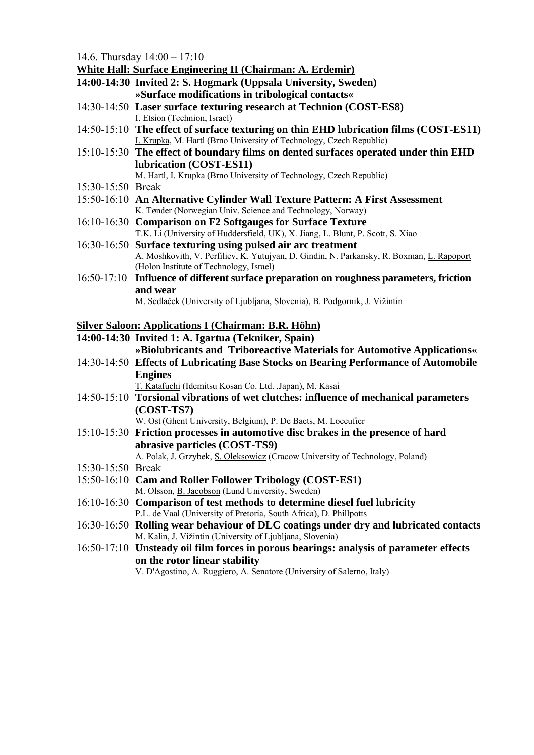14.6. Thursday 14:00 – 17:10

**White Hall: Surface Engineering II (Chairman: A. Erdemir)**

- **14:00-14:30 Invited 2: S. Hogmark (Uppsala University, Sweden) »Surface modifications in tribological contacts«**
- 14:30-14:50 **Laser surface texturing research at Technion (COST-ES8)**  I. Etsion (Technion, Israel)
- 14:50-15:10 **The effect of surface texturing on thin EHD lubrication films (COST-ES11)**  I. Krupka, M. Hartl (Brno University of Technology, Czech Republic)
- 15:10-15:30 **The effect of boundary films on dented surfaces operated under thin EHD lubrication (COST-ES11)**

M. Hartl, I. Krupka (Brno University of Technology, Czech Republic)

- 15:30-15:50 Break
- 15:50-16:10 **An Alternative Cylinder Wall Texture Pattern: A First Assessment**  K. Tønder (Norwegian Univ. Science and Technology, Norway)
- 16:10-16:30 **Comparison on F2 Softgauges for Surface Texture**  T.K. Li (University of Huddersfield, UK), X. Jiang, L. Blunt, P. Scott, S. Xiao
- 16:30-16:50 **Surface texturing using pulsed air arc treatment**  A. Moshkovith, V. Perfiliev, K. Yutujyan, D. Gindin, N. Parkansky, R. Boxman, L. Rapoport (Holon Institute of Technology, Israel)
- 16:50-17:10 **Influence of different surface preparation on roughness parameters, friction and wear**

M. Sedlaček (University of Ljubljana, Slovenia), B. Podgornik, J. Vižintin

## **Silver Saloon: Applications I (Chairman: B.R. Höhn)**

### **14:00-14:30 Invited 1: A. Igartua (Tekniker, Spain)**

 **»Biolubricants and Triboreactive Materials for Automotive Applications«** 

14:30-14:50 **Effects of Lubricating Base Stocks on Bearing Performance of Automobile Engines** 

T. Katafuchi (Idemitsu Kosan Co. Ltd. ,Japan), M. Kasai

14:50-15:10 **Torsional vibrations of wet clutches: influence of mechanical parameters (COST-TS7)** 

W. Ost (Ghent University, Belgium), P. De Baets, M. Loccufier

- 15:10-15:30 **Friction processes in automotive disc brakes in the presence of hard abrasive particles (COST-TS9)**  A. Polak, J. Grzybek, S. Oleksowicz (Cracow University of Technology, Poland)
- 15:30-15:50 Break
- 15:50-16:10 **Cam and Roller Follower Tribology (COST-ES1)**  M. Olsson, B. Jacobson (Lund University, Sweden)
- 16:10-16:30 **Comparison of test methods to determine diesel fuel lubricity**  P.L. de Vaal (University of Pretoria, South Africa), D. Phillpotts
- 16:30-16:50 **Rolling wear behaviour of DLC coatings under dry and lubricated contacts**  M. Kalin, J. Vižintin (University of Ljubljana, Slovenia)
- 16:50-17:10 **Unsteady oil film forces in porous bearings: analysis of parameter effects on the rotor linear stability**

V. D'Agostino, A. Ruggiero, A. Senatore (University of Salerno, Italy)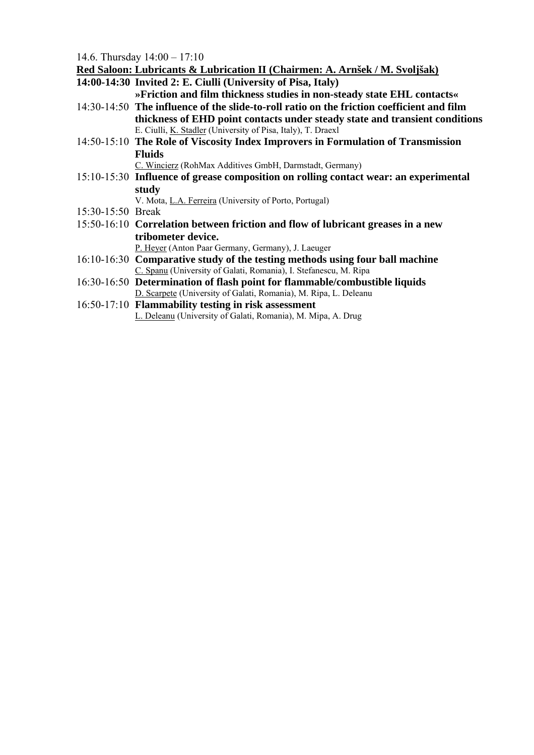14.6. Thursday 14:00 – 17:10

**Red Saloon: Lubricants & Lubrication II (Chairmen: A. Arnšek / M. Svoljšak)**

**14:00-14:30 Invited 2: E. Ciulli (University of Pisa, Italy)** 

 **»Friction and film thickness studies in non-steady state EHL contacts«** 

- 14:30-14:50 **The influence of the slide-to-roll ratio on the friction coefficient and film thickness of EHD point contacts under steady state and transient conditions** E. Ciulli, K. Stadler (University of Pisa, Italy), T. Draexl
- 14:50-15:10 **The Role of Viscosity Index Improvers in Formulation of Transmission Fluids**

C. Wincierz (RohMax Additives GmbH, Darmstadt, Germany)

15:10-15:30 **Influence of grease composition on rolling contact wear: an experimental study** 

V. Mota, L.A. Ferreira (University of Porto, Portugal)

- 15:30-15:50 Break
- 15:50-16:10 **Correlation between friction and flow of lubricant greases in a new tribometer device.**

P. Heyer (Anton Paar Germany, Germany), J. Laeuger

- 16:10-16:30 **Comparative study of the testing methods using four ball machine**  C. Spanu (University of Galati, Romania), I. Stefanescu, M. Ripa
- 16:30-16:50 **Determination of flash point for flammable/combustible liquids**  D. Scarpete (University of Galati, Romania), M. Ripa, L. Deleanu
- 16:50-17:10 **Flammability testing in risk assessment**  L. Deleanu (University of Galati, Romania), M. Mipa, A. Drug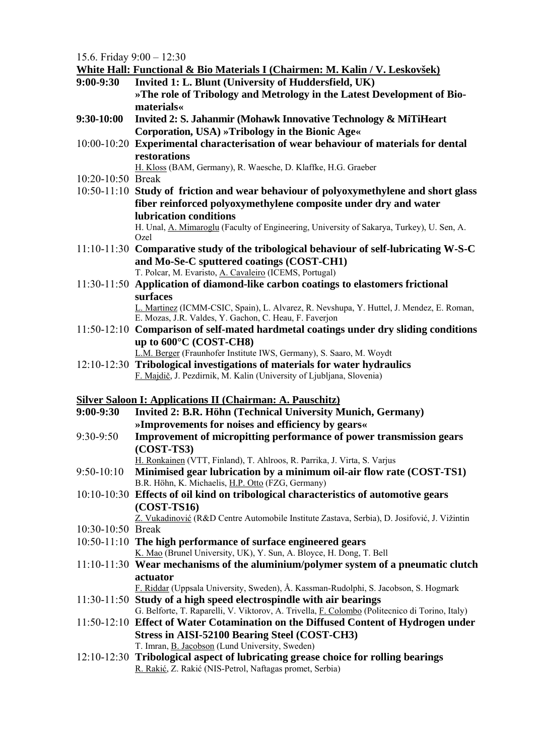15.6. Friday 9:00 – 12:30

|                   | White Hall: Functional & Bio Materials I (Chairmen: M. Kalin / V. Leskovšek)                                                                               |
|-------------------|------------------------------------------------------------------------------------------------------------------------------------------------------------|
| $9:00-9:30$       | Invited 1: L. Blunt (University of Huddersfield, UK)                                                                                                       |
|                   | »The role of Tribology and Metrology in the Latest Development of Bio-                                                                                     |
|                   | <i>materials</i> «                                                                                                                                         |
| 9:30-10:00        | Invited 2: S. Jahanmir (Mohawk Innovative Technology & MiTiHeart                                                                                           |
|                   | Corporation, USA) »Tribology in the Bionic Age«                                                                                                            |
|                   | 10:00-10:20 Experimental characterisation of wear behaviour of materials for dental                                                                        |
|                   | restorations                                                                                                                                               |
|                   | H. Kloss (BAM, Germany), R. Waesche, D. Klaffke, H.G. Graeber                                                                                              |
| 10:20-10:50 Break |                                                                                                                                                            |
|                   | 10:50-11:10 Study of friction and wear behaviour of polyoxymethylene and short glass                                                                       |
|                   | fiber reinforced polyoxymethylene composite under dry and water                                                                                            |
|                   | lubrication conditions<br>H. Unal, A. Mimaroglu (Faculty of Engineering, University of Sakarya, Turkey), U. Sen, A.                                        |
|                   | Ozel                                                                                                                                                       |
|                   | 11:10-11:30 Comparative study of the tribological behaviour of self-lubricating W-S-C                                                                      |
|                   | and Mo-Se-C sputtered coatings (COST-CH1)                                                                                                                  |
|                   | T. Polcar, M. Evaristo, A. Cavaleiro (ICEMS, Portugal)                                                                                                     |
|                   | 11:30-11:50 Application of diamond-like carbon coatings to elastomers frictional                                                                           |
|                   | surfaces                                                                                                                                                   |
|                   | L. Martinez (ICMM-CSIC, Spain), L. Alvarez, R. Nevshupa, Y. Huttel, J. Mendez, E. Roman,                                                                   |
|                   | E. Mozas, J.R. Valdes, Y. Gachon, C. Heau, F. Faverjon<br>11:50-12:10 Comparison of self-mated hardmetal coatings under dry sliding conditions             |
|                   | up to $600^{\circ}$ C (COST-CH8)                                                                                                                           |
|                   | L.M. Berger (Fraunhofer Institute IWS, Germany), S. Saaro, M. Woydt                                                                                        |
|                   | 12:10-12:30 Tribological investigations of materials for water hydraulics                                                                                  |
|                   | F. Majdič, J. Pezdirnik, M. Kalin (University of Ljubljana, Slovenia)                                                                                      |
|                   |                                                                                                                                                            |
|                   | <b>Silver Saloon I: Applications II (Chairman: A. Pauschitz)</b>                                                                                           |
| $9:00-9:30$       | Invited 2: B.R. Höhn (Technical University Munich, Germany)                                                                                                |
|                   | »Improvements for noises and efficiency by gears«                                                                                                          |
| 9:30-9:50         | Improvement of micropitting performance of power transmission gears                                                                                        |
|                   | $(COST-TS3)$                                                                                                                                               |
| $9:50-10:10$      | H. Ronkainen (VTT, Finland), T. Ahlroos, R. Parrika, J. Virta, S. Varjus<br>Minimised gear lubrication by a minimum oil-air flow rate (COST-TS1)           |
|                   | B.R. Höhn, K. Michaelis, H.P. Otto (FZG, Germany)                                                                                                          |
|                   | 10:10-10:30 Effects of oil kind on tribological characteristics of automotive gears                                                                        |
|                   | $(COST-TS16)$                                                                                                                                              |
|                   | Z. Vukadinović (R&D Centre Automobile Institute Zastava, Serbia), D. Josifović, J. Vižintin                                                                |
| 10:30-10:50 Break |                                                                                                                                                            |
|                   | 10:50-11:10 The high performance of surface engineered gears                                                                                               |
|                   | K. Mao (Brunel University, UK), Y. Sun, A. Bloyce, H. Dong, T. Bell                                                                                        |
|                   | 11:10-11:30 Wear mechanisms of the aluminium/polymer system of a pneumatic clutch                                                                          |
|                   | actuator                                                                                                                                                   |
|                   | F. Riddar (Uppsala University, Sweden), Å. Kassman-Rudolphi, S. Jacobson, S. Hogmark<br>11:30-11:50 Study of a high speed electrospindle with air bearings |
|                   | G. Belforte, T. Raparelli, V. Viktorov, A. Trivella, F. Colombo (Politecnico di Torino, Italy)                                                             |
|                   | 11:50-12:10 Effect of Water Cotamination on the Diffused Content of Hydrogen under                                                                         |
|                   | <b>Stress in AISI-52100 Bearing Steel (COST-CH3)</b>                                                                                                       |
|                   | T. Imran, B. Jacobson (Lund University, Sweden)                                                                                                            |
|                   | 12:10-12:30 Tribological aspect of lubricating grease choice for rolling bearings                                                                          |
|                   | R. Rakić, Z. Rakić (NIS-Petrol, Naftagas promet, Serbia)                                                                                                   |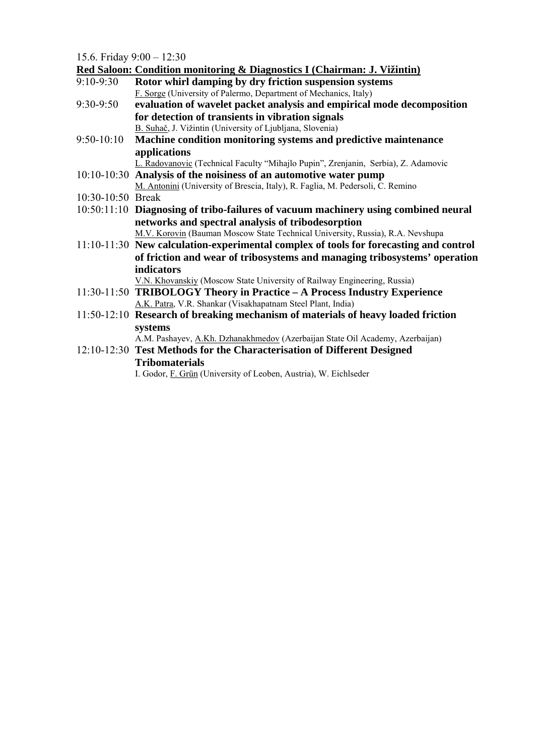15.6. Friday  $9.00 - 12.30$ 

|                   | Red Saloon: Condition monitoring & Diagnostics I (Chairman: J. Vižintin)                |
|-------------------|-----------------------------------------------------------------------------------------|
| $9:10-9:30$       | Rotor whirl damping by dry friction suspension systems                                  |
|                   | F. Sorge (University of Palermo, Department of Mechanics, Italy)                        |
| 9:30-9:50         | evaluation of wavelet packet analysis and empirical mode decomposition                  |
|                   | for detection of transients in vibration signals                                        |
|                   | B. Suhač, J. Vižintin (University of Ljubljana, Slovenia)                               |
| $9:50-10:10$      | Machine condition monitoring systems and predictive maintenance                         |
|                   | applications                                                                            |
|                   | L. Radovanovic (Technical Faculty "Mihajlo Pupin", Zrenjanin, Serbia), Z. Adamovic      |
|                   | 10:10-10:30 Analysis of the noisiness of an automotive water pump                       |
|                   | M. Antonini (University of Brescia, Italy), R. Faglia, M. Pedersoli, C. Remino          |
| 10:30-10:50 Break |                                                                                         |
|                   | 10:50:11:10 Diagnosing of tribo-failures of vacuum machinery using combined neural      |
|                   | networks and spectral analysis of tribodesorption                                       |
|                   | M.V. Korovin (Bauman Moscow State Technical University, Russia), R.A. Nevshupa          |
|                   | $11:10-11:30$ New calculation-experimental complex of tools for forecasting and control |
|                   | of friction and wear of tribosystems and managing tribosystems' operation               |
|                   | <b>indicators</b>                                                                       |
|                   | V.N. Khovanskiy (Moscow State University of Railway Engineering, Russia)                |
|                   | 11:30-11:50 TRIBOLOGY Theory in Practice – A Process Industry Experience                |
|                   | A.K. Patra, V.R. Shankar (Visakhapatnam Steel Plant, India)                             |
|                   | 11:50-12:10 Research of breaking mechanism of materials of heavy loaded friction        |
|                   | systems                                                                                 |
|                   | A.M. Pashayev, A.Kh. Dzhanakhmedov (Azerbaijan State Oil Academy, Azerbaijan)           |
|                   | 12:10-12:30 Test Methods for the Characterisation of Different Designed                 |
|                   | <b>Tribomaterials</b>                                                                   |
|                   |                                                                                         |

I. Godor, F. Grün (University of Leoben, Austria), W. Eichlseder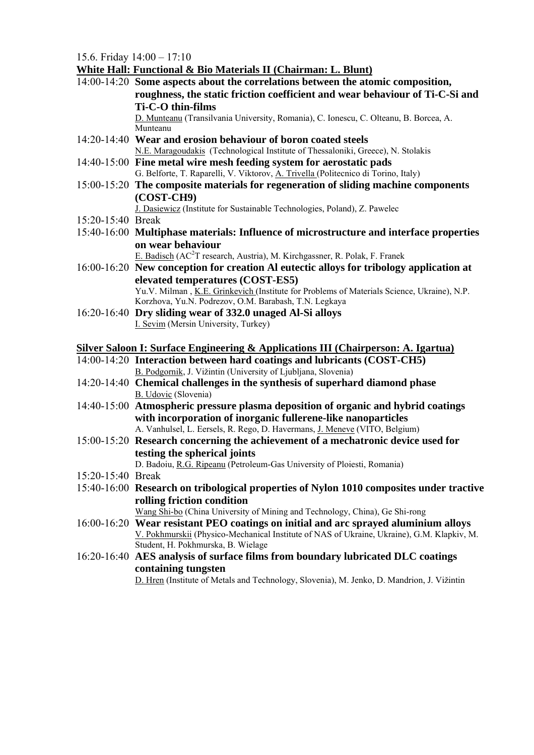15.6. Friday 14:00 – 17:10

**White Hall: Functional & Bio Materials II (Chairman: L. Blunt)**

- 14:00-14:20 **Some aspects about the correlations between the atomic composition, roughness, the static friction coefficient and wear behaviour of Ti-C-Si and Ti-C-O thin-films**  D. Munteanu (Transilvania University, Romania), C. Ionescu, C. Olteanu, B. Borcea, A. Munteanu
- 14:20-14:40 **Wear and erosion behaviour of boron coated steels**  N.E. Maragoudakis (Technological Institute of Thessaloniki, Greece), N. Stolakis
- 14:40-15:00 **Fine metal wire mesh feeding system for aerostatic pads**  G. Belforte, T. Raparelli, V. Viktorov, A. Trivella (Politecnico di Torino, Italy)
- 15:00-15:20 **The composite materials for regeneration of sliding machine components (COST-CH9)**

J. Dasiewicz (Institute for Sustainable Technologies, Poland), Z. Pawelec

- 15:20-15:40 Break
- 15:40-16:00 **Multiphase materials: Influence of microstructure and interface properties on wear behaviour**

E. Badisch (AC<sup>2</sup>T research, Austria), M. Kirchgassner, R. Polak, F. Franek

- 16:00-16:20 **New conception for creation Al eutectic alloys for tribology application at elevated temperatures (COST-ES5)**  Yu.V. Milman , K.E. Grinkevich (Institute for Problems of Materials Science, Ukraine), N.P. Korzhova, Yu.N. Podrezov, O.M. Barabash, T.N. Legkaya
- 16:20-16:40 **Dry sliding wear of 332.0 unaged Al-Si alloys**  I. Sevim (Mersin University, Turkey)

## **Silver Saloon I: Surface Engineering & Applications III (Chairperson: A. Igartua)**

- 14:00-14:20 **Interaction between hard coatings and lubricants (COST-CH5)**  B. Podgornik, J. Vižintin (University of Ljubljana, Slovenia)
- 14:20-14:40 **Chemical challenges in the synthesis of superhard diamond phase**  B. Udovic (Slovenia)
- 14:40-15:00 **Atmospheric pressure plasma deposition of organic and hybrid coatings with incorporation of inorganic fullerene-like nanoparticles**  A. Vanhulsel, L. Eersels, R. Rego, D. Havermans, J. Meneve (VITO, Belgium)
- 15:00-15:20 **Research concerning the achievement of a mechatronic device used for testing the spherical joints**

D. Badoiu, R.G. Ripeanu (Petroleum-Gas University of Ploiesti, Romania)

- 15:20-15:40 Break
- 15:40-16:00 **Research on tribological properties of Nylon 1010 composites under tractive rolling friction condition**

Wang Shi-bo (China University of Mining and Technology, China), Ge Shi-rong

- 16:00-16:20 **Wear resistant PEO coatings on initial and arc sprayed aluminium alloys**  V. Pokhmurskii (Physico-Mechanical Institute of NAS of Ukraine, Ukraine), G.M. Klapkiv, M. Student, H. Pokhmurska, B. Wielage
- 16:20-16:40 **AES analysis of surface films from boundary lubricated DLC coatings containing tungsten**

D. Hren (Institute of Metals and Technology, Slovenia), M. Jenko, D. Mandrion, J. Vižintin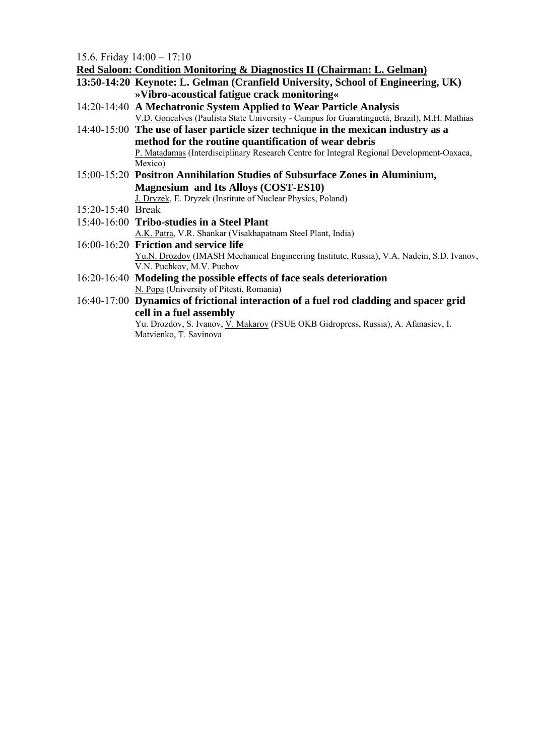15.6. Friday  $14:00 - 17:10$ 

|                   | 10.0.111000 11.00 17.10                                                                     |
|-------------------|---------------------------------------------------------------------------------------------|
|                   | <b>Red Saloon: Condition Monitoring &amp; Diagnostics II (Chairman: L. Gelman)</b>          |
|                   | 13:50-14:20 Keynote: L. Gelman (Cranfield University, School of Engineering, UK)            |
|                   | »Vibro-acoustical fatigue crack monitoring«                                                 |
|                   | 14:20-14:40 A Mechatronic System Applied to Wear Particle Analysis                          |
|                   | V.D. Goncalves (Paulista State University - Campus for Guaratinguetá, Brazil), M.H. Mathias |
|                   | 14:40-15:00 The use of laser particle sizer technique in the mexican industry as a          |
|                   | method for the routine quantification of wear debris                                        |
|                   | P. Matadamas (Interdisciplinary Research Centre for Integral Regional Development-Oaxaca,   |
|                   | Mexico)                                                                                     |
|                   | 15:00-15:20 Positron Annihilation Studies of Subsurface Zones in Aluminium,                 |
|                   | <b>Magnesium and Its Alloys (COST-ES10)</b>                                                 |
|                   | J. Dryzek, E. Dryzek (Institute of Nuclear Physics, Poland)                                 |
| 15:20-15:40 Break |                                                                                             |
|                   | 15:40-16:00 Tribo-studies in a Steel Plant                                                  |
|                   | A.K. Patra, V.R. Shankar (Visakhapatnam Steel Plant, India)                                 |
|                   | 16:00-16:20 Friction and service life                                                       |
|                   | Yu.N. Drozdov (IMASH Mechanical Engineering Institute, Russia), V.A. Nadein, S.D. Ivanov,   |
|                   | V.N. Puchkov, M.V. Puchov                                                                   |
|                   | 16:20-16:40 Modeling the possible effects of face seals deterioration                       |
|                   | N. Popa (University of Pitesti, Romania)                                                    |
|                   | 16:40-17:00 Dynamics of frictional interaction of a fuel rod cladding and spacer grid       |
|                   | cell in a fuel assembly                                                                     |
|                   | Yu. Drozdov, S. Ivanov, V. Makarov (FSUE OKB Gidropress, Russia), A. Afanasiev, I.          |
|                   | Matvienko, T. Savinova                                                                      |